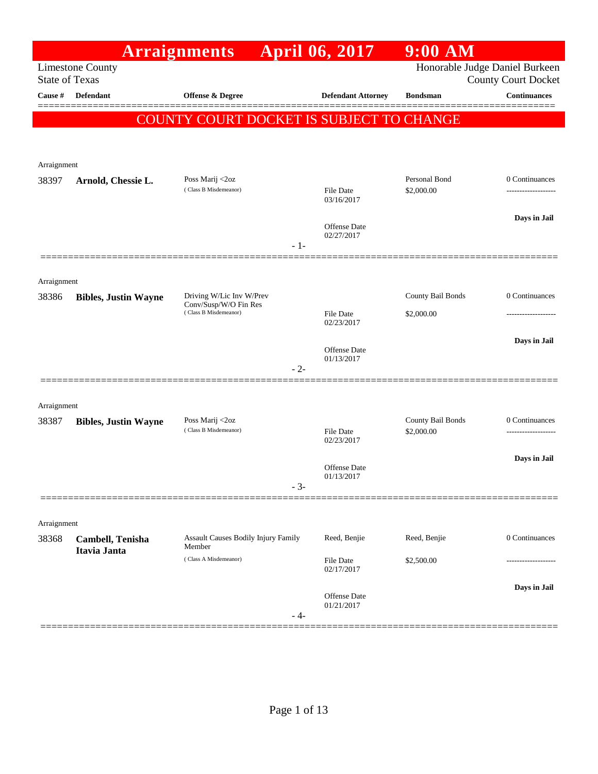|                                  |                             | <b>Arraignments</b>                            |       | <b>April 06, 2017</b>          | $9:00$ AM         |                                            |
|----------------------------------|-----------------------------|------------------------------------------------|-------|--------------------------------|-------------------|--------------------------------------------|
|                                  | <b>Limestone County</b>     |                                                |       |                                |                   | Honorable Judge Daniel Burkeen             |
| <b>State of Texas</b><br>Cause # | <b>Defendant</b>            | Offense & Degree                               |       | <b>Defendant Attorney</b>      | <b>Bondsman</b>   | County Court Docket<br><b>Continuances</b> |
|                                  |                             |                                                |       |                                |                   |                                            |
|                                  |                             | COUNTY COURT DOCKET IS SUBJECT TO CHANGE       |       |                                |                   |                                            |
|                                  |                             |                                                |       |                                |                   |                                            |
| Arraignment                      |                             |                                                |       |                                |                   |                                            |
| 38397                            | Arnold, Chessie L.          | Poss Marij <2oz                                |       |                                | Personal Bond     | 0 Continuances                             |
|                                  |                             | (Class B Misdemeanor)                          |       | <b>File Date</b><br>03/16/2017 | \$2,000.00        |                                            |
|                                  |                             |                                                |       |                                |                   |                                            |
|                                  |                             |                                                |       | Offense Date                   |                   | Days in Jail                               |
|                                  |                             |                                                | $-1-$ | 02/27/2017                     |                   |                                            |
|                                  |                             |                                                |       |                                |                   |                                            |
| Arraignment                      |                             |                                                |       |                                |                   |                                            |
| 38386                            | <b>Bibles, Justin Wayne</b> | Driving W/Lic Inv W/Prev                       |       |                                | County Bail Bonds | 0 Continuances                             |
|                                  |                             | Conv/Susp/W/O Fin Res<br>(Class B Misdemeanor) |       | <b>File Date</b>               | \$2,000.00        |                                            |
|                                  |                             |                                                |       | 02/23/2017                     |                   |                                            |
|                                  |                             |                                                |       | Offense Date                   |                   | Days in Jail                               |
|                                  |                             |                                                | $-2-$ | 01/13/2017                     |                   |                                            |
|                                  |                             |                                                |       |                                |                   |                                            |
| Arraignment                      |                             |                                                |       |                                |                   |                                            |
| 38387                            | <b>Bibles, Justin Wayne</b> | Poss Marij <2oz                                |       |                                | County Bail Bonds | 0 Continuances                             |
|                                  |                             | (Class B Misdemeanor)                          |       | <b>File Date</b><br>02/23/2017 | \$2,000.00        |                                            |
|                                  |                             |                                                |       |                                |                   | Days in Jail                               |
|                                  |                             |                                                |       | Offense Date<br>01/13/2017     |                   |                                            |
|                                  |                             |                                                | $-3-$ |                                |                   |                                            |
|                                  |                             |                                                |       |                                |                   |                                            |
| Arraignment                      |                             |                                                |       |                                |                   |                                            |
| 38368                            | Cambell, Tenisha            | Assault Causes Bodily Injury Family<br>Member  |       | Reed, Benjie                   | Reed, Benjie      | 0 Continuances                             |
|                                  | Itavia Janta                | (Class A Misdemeanor)                          |       | <b>File Date</b>               | \$2,500.00        |                                            |
|                                  |                             |                                                |       | 02/17/2017                     |                   |                                            |
|                                  |                             |                                                |       | Offense Date                   |                   | Days in Jail                               |
|                                  |                             |                                                | - 4-  | 01/21/2017                     |                   |                                            |
|                                  |                             |                                                |       |                                |                   |                                            |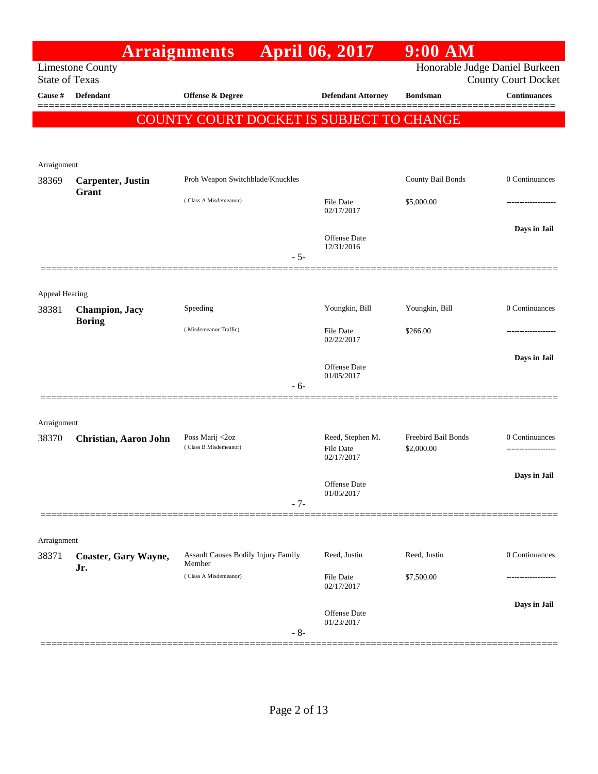|                       |                                    | <b>Arraignments</b>                           | <b>April 06, 2017</b>          | $9:00$ AM                      |                            |
|-----------------------|------------------------------------|-----------------------------------------------|--------------------------------|--------------------------------|----------------------------|
| <b>State of Texas</b> | <b>Limestone County</b>            |                                               |                                | Honorable Judge Daniel Burkeen | <b>County Court Docket</b> |
| Cause #               | <b>Defendant</b>                   | <b>Offense &amp; Degree</b>                   | <b>Defendant Attorney</b>      | <b>Bondsman</b>                | <b>Continuances</b>        |
|                       |                                    | COUNTY COURT DOCKET IS SUBJECT TO CHANGE      |                                |                                |                            |
|                       |                                    |                                               |                                |                                |                            |
|                       |                                    |                                               |                                |                                |                            |
| Arraignment<br>38369  | <b>Carpenter</b> , Justin          | Proh Weapon Switchblade/Knuckles              |                                | County Bail Bonds              | 0 Continuances             |
|                       | Grant                              | (Class A Misdemeanor)                         |                                |                                |                            |
|                       |                                    |                                               | <b>File Date</b><br>02/17/2017 | \$5,000.00                     | .                          |
|                       |                                    |                                               | Offense Date                   |                                | Days in Jail               |
|                       |                                    | $-5-$                                         | 12/31/2016                     |                                |                            |
|                       |                                    |                                               |                                |                                |                            |
| Appeal Hearing        |                                    |                                               |                                |                                |                            |
| 38381                 | <b>Champion</b> , Jacy             | Speeding                                      | Youngkin, Bill                 | Youngkin, Bill                 | 0 Continuances             |
|                       | <b>Boring</b>                      | (Misdemeanor Traffic)                         | <b>File Date</b>               | \$266.00                       | ----------------           |
|                       |                                    |                                               | 02/22/2017                     |                                |                            |
|                       |                                    |                                               | Offense Date                   |                                | Days in Jail               |
|                       |                                    | $-6-$                                         | 01/05/2017                     |                                |                            |
|                       |                                    |                                               |                                |                                |                            |
| Arraignment           |                                    |                                               |                                |                                |                            |
| 38370                 | <b>Christian, Aaron John</b>       | Poss Marij <2oz                               | Reed, Stephen M.               | Freebird Bail Bonds            | 0 Continuances             |
|                       |                                    | (Class B Misdemeanor)                         | <b>File Date</b><br>02/17/2017 | \$2,000.00                     | -----------------          |
|                       |                                    |                                               |                                |                                | Days in Jail               |
|                       |                                    |                                               | Offense Date<br>01/05/2017     |                                |                            |
|                       |                                    | $-7-$                                         |                                |                                |                            |
|                       |                                    |                                               |                                |                                |                            |
| Arraignment           |                                    |                                               | Reed, Justin                   | Reed, Justin                   | 0 Continuances             |
| 38371                 | <b>Coaster, Gary Wayne,</b><br>Jr. | Assault Causes Bodily Injury Family<br>Member |                                |                                |                            |
|                       |                                    | (Class A Misdemeanor)                         | <b>File Date</b><br>02/17/2017 | \$7,500.00                     |                            |
|                       |                                    |                                               |                                |                                | Days in Jail               |
|                       |                                    |                                               | Offense Date<br>01/23/2017     |                                |                            |
|                       |                                    | $-8-$                                         |                                |                                |                            |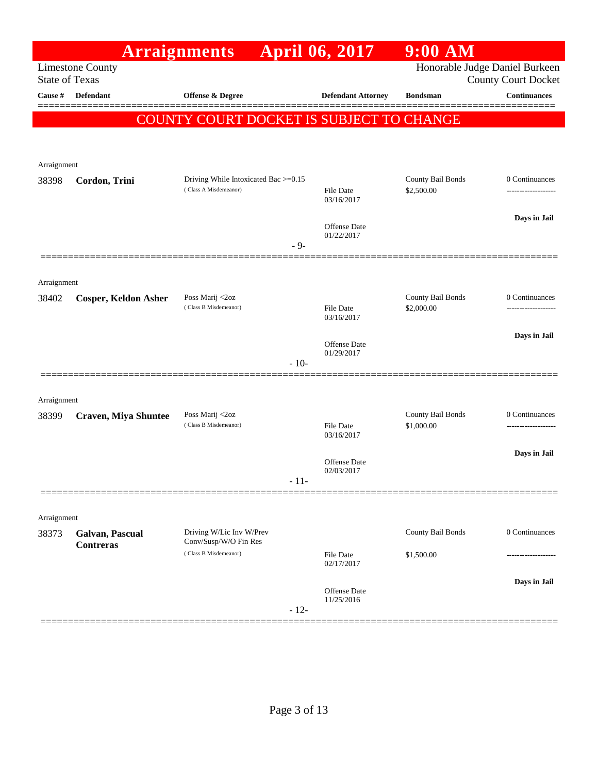|                       |                                     | <b>Arraignments</b>                               | <b>April 06, 2017</b>          | $9:00$ AM                       |                                                              |
|-----------------------|-------------------------------------|---------------------------------------------------|--------------------------------|---------------------------------|--------------------------------------------------------------|
| <b>State of Texas</b> | <b>Limestone County</b>             |                                                   |                                |                                 | Honorable Judge Daniel Burkeen<br><b>County Court Docket</b> |
| Cause #               | Defendant                           | <b>Offense &amp; Degree</b>                       | <b>Defendant Attorney</b>      | <b>Bondsman</b>                 | <b>Continuances</b>                                          |
|                       |                                     | COUNTY COURT DOCKET IS SUBJECT TO CHANGE          |                                |                                 |                                                              |
|                       |                                     |                                                   |                                |                                 |                                                              |
|                       |                                     |                                                   |                                |                                 |                                                              |
| Arraignment<br>38398  | Cordon, Trini                       | Driving While Intoxicated Bac >=0.15              |                                | County Bail Bonds               | 0 Continuances                                               |
|                       |                                     | (Class A Misdemeanor)                             | File Date<br>03/16/2017        | \$2,500.00                      | -------------------                                          |
|                       |                                     |                                                   | Offense Date                   |                                 | Days in Jail                                                 |
|                       |                                     | $-9-$                                             | 01/22/2017                     |                                 |                                                              |
|                       |                                     |                                                   |                                |                                 |                                                              |
| Arraignment           |                                     |                                                   |                                |                                 |                                                              |
| 38402                 | <b>Cosper, Keldon Asher</b>         | Poss Marij <2oz<br>(Class B Misdemeanor)          | File Date                      | County Bail Bonds<br>\$2,000.00 | 0 Continuances                                               |
|                       |                                     |                                                   | 03/16/2017                     |                                 |                                                              |
|                       |                                     |                                                   | Offense Date                   |                                 | Days in Jail                                                 |
|                       |                                     | $-10-$                                            | 01/29/2017                     |                                 |                                                              |
|                       |                                     |                                                   |                                |                                 |                                                              |
| Arraignment           |                                     |                                                   |                                |                                 |                                                              |
| 38399                 | <b>Craven, Miya Shuntee</b>         | Poss Marij <2oz<br>(Class B Misdemeanor)          | <b>File Date</b>               | County Bail Bonds<br>\$1,000.00 | 0 Continuances                                               |
|                       |                                     |                                                   | 03/16/2017                     |                                 |                                                              |
|                       |                                     |                                                   | Offense Date                   |                                 | Days in Jail                                                 |
|                       |                                     | - 11-                                             | 02/03/2017                     |                                 |                                                              |
|                       |                                     |                                                   |                                |                                 |                                                              |
| Arraignment           |                                     |                                                   |                                |                                 |                                                              |
| 38373                 | Galvan, Pascual<br><b>Contreras</b> | Driving W/Lic Inv W/Prev<br>Conv/Susp/W/O Fin Res |                                | County Bail Bonds               | 0 Continuances                                               |
|                       |                                     | (Class B Misdemeanor)                             | <b>File Date</b><br>02/17/2017 | \$1,500.00                      |                                                              |
|                       |                                     |                                                   |                                |                                 | Days in Jail                                                 |
|                       |                                     | $-12-$                                            | Offense Date<br>11/25/2016     |                                 |                                                              |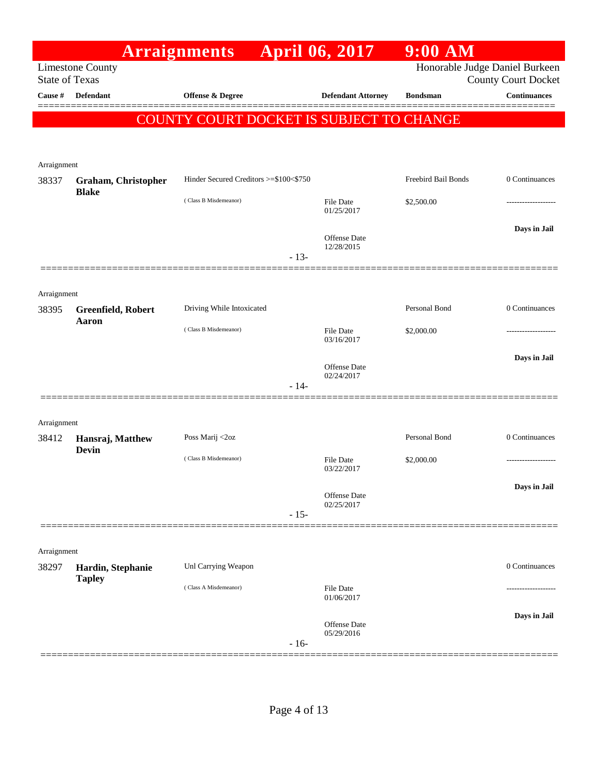|                                  |                            | <b>Arraignments</b>                      |        | <b>April 06, 2017</b>          | $9:00$ AM                      |                                                   |
|----------------------------------|----------------------------|------------------------------------------|--------|--------------------------------|--------------------------------|---------------------------------------------------|
|                                  | <b>Limestone County</b>    |                                          |        |                                | Honorable Judge Daniel Burkeen |                                                   |
| <b>State of Texas</b><br>Cause # | <b>Defendant</b>           | Offense & Degree                         |        | <b>Defendant Attorney</b>      | <b>Bondsman</b>                | <b>County Court Docket</b><br><b>Continuances</b> |
|                                  |                            |                                          |        |                                |                                |                                                   |
|                                  |                            | COUNTY COURT DOCKET IS SUBJECT TO CHANGE |        |                                |                                |                                                   |
|                                  |                            |                                          |        |                                |                                |                                                   |
| Arraignment                      |                            |                                          |        |                                |                                |                                                   |
| 38337                            | <b>Graham, Christopher</b> | Hinder Secured Creditors >=\$100<\$750   |        |                                | Freebird Bail Bonds            | 0 Continuances                                    |
|                                  | <b>Blake</b>               | (Class B Misdemeanor)                    |        | <b>File Date</b>               | \$2,500.00                     |                                                   |
|                                  |                            |                                          |        | 01/25/2017                     |                                |                                                   |
|                                  |                            |                                          |        | Offense Date                   |                                | Days in Jail                                      |
|                                  |                            |                                          | $-13-$ | 12/28/2015                     |                                |                                                   |
|                                  |                            |                                          |        |                                |                                |                                                   |
| Arraignment                      |                            |                                          |        |                                |                                |                                                   |
| 38395                            | Greenfield, Robert         | Driving While Intoxicated                |        |                                | Personal Bond                  | 0 Continuances                                    |
|                                  | Aaron                      | (Class B Misdemeanor)                    |        | <b>File Date</b>               |                                |                                                   |
|                                  |                            |                                          |        | 03/16/2017                     | \$2,000.00                     |                                                   |
|                                  |                            |                                          |        | Offense Date                   |                                | Days in Jail                                      |
|                                  |                            |                                          |        | 02/24/2017                     |                                |                                                   |
|                                  |                            |                                          | $-14-$ |                                |                                |                                                   |
|                                  |                            |                                          |        |                                |                                |                                                   |
| Arraignment<br>38412             | Hansraj, Matthew           | Poss Marij <2oz                          |        |                                | Personal Bond                  | 0 Continuances                                    |
|                                  | <b>Devin</b>               |                                          |        |                                |                                |                                                   |
|                                  |                            | (Class B Misdemeanor)                    |        | <b>File Date</b><br>03/22/2017 | \$2,000.00                     | ------------------                                |
|                                  |                            |                                          |        |                                |                                | Days in Jail                                      |
|                                  |                            |                                          |        | Offense Date<br>02/25/2017     |                                |                                                   |
|                                  |                            |                                          | $-15-$ |                                |                                |                                                   |
|                                  |                            |                                          |        |                                |                                |                                                   |
| Arraignment<br>38297             | Hardin, Stephanie          | Unl Carrying Weapon                      |        |                                |                                | 0 Continuances                                    |
|                                  | <b>Tapley</b>              |                                          |        |                                |                                |                                                   |
|                                  |                            | (Class A Misdemeanor)                    |        | <b>File Date</b><br>01/06/2017 |                                |                                                   |
|                                  |                            |                                          |        |                                |                                | Days in Jail                                      |
|                                  |                            |                                          |        | Offense Date<br>05/29/2016     |                                |                                                   |
|                                  |                            |                                          | $-16-$ |                                |                                |                                                   |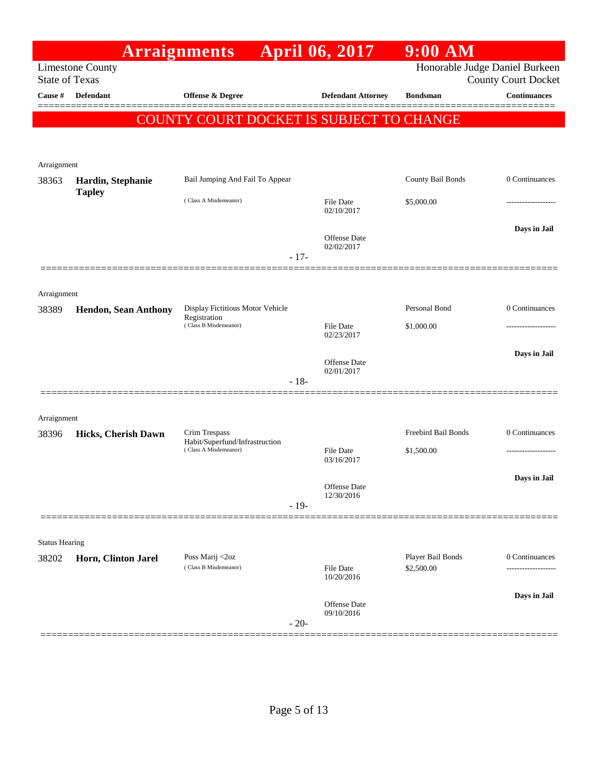|                       |                                    | <b>Arraignments</b>                                                       |        | <b>April 06, 2017</b>             | $9:00$ AM                       |                            |
|-----------------------|------------------------------------|---------------------------------------------------------------------------|--------|-----------------------------------|---------------------------------|----------------------------|
| <b>State of Texas</b> | <b>Limestone County</b>            |                                                                           |        |                                   | Honorable Judge Daniel Burkeen  | <b>County Court Docket</b> |
| Cause #               | <b>Defendant</b>                   | Offense & Degree                                                          |        | <b>Defendant Attorney</b>         | <b>Bondsman</b>                 | <b>Continuances</b>        |
|                       |                                    |                                                                           |        |                                   |                                 |                            |
|                       |                                    | COUNTY COURT DOCKET IS SUBJECT TO CHANGE                                  |        |                                   |                                 |                            |
|                       |                                    |                                                                           |        |                                   |                                 |                            |
| Arraignment           |                                    |                                                                           |        |                                   |                                 |                            |
| 38363                 | Hardin, Stephanie<br><b>Tapley</b> | Bail Jumping And Fail To Appear                                           |        |                                   | County Bail Bonds               | 0 Continuances             |
|                       |                                    | (Class A Misdemeanor)                                                     |        | File Date<br>02/10/2017           | \$5,000.00                      |                            |
|                       |                                    |                                                                           |        |                                   |                                 | Days in Jail               |
|                       |                                    |                                                                           |        | <b>Offense Date</b><br>02/02/2017 |                                 |                            |
|                       |                                    |                                                                           | $-17-$ |                                   |                                 |                            |
|                       |                                    |                                                                           |        |                                   |                                 |                            |
| Arraignment           |                                    |                                                                           |        |                                   |                                 |                            |
| 38389                 | <b>Hendon, Sean Anthony</b>        | Display Fictitious Motor Vehicle<br>Registration<br>(Class B Misdemeanor) |        |                                   | Personal Bond                   | 0 Continuances             |
|                       |                                    |                                                                           |        | File Date<br>02/23/2017           | \$1,000.00                      |                            |
|                       |                                    |                                                                           |        |                                   |                                 | Days in Jail               |
|                       |                                    |                                                                           |        | Offense Date<br>02/01/2017        |                                 |                            |
|                       |                                    |                                                                           | $-18-$ |                                   |                                 |                            |
| Arraignment           |                                    |                                                                           |        |                                   |                                 |                            |
| 38396                 | Hicks, Cherish Dawn                | Crim Trespass                                                             |        |                                   | Freebird Bail Bonds             | 0 Continuances             |
|                       |                                    | Habit/Superfund/Infrastruction<br>(Class A Misdemeanor)                   |        | File Date                         | \$1,500.00                      | -----------------          |
|                       |                                    |                                                                           |        | 03/16/2017                        |                                 |                            |
|                       |                                    |                                                                           |        | Offense Date                      |                                 | Days in Jail               |
|                       |                                    |                                                                           | $-19-$ | 12/30/2016                        |                                 |                            |
|                       |                                    |                                                                           |        |                                   |                                 |                            |
| <b>Status Hearing</b> |                                    |                                                                           |        |                                   |                                 |                            |
| 38202                 | Horn, Clinton Jarel                | Poss Marij <2oz<br>(Class B Misdemeanor)                                  |        | File Date                         | Player Bail Bonds<br>\$2,500.00 | 0 Continuances             |
|                       |                                    |                                                                           |        | 10/20/2016                        |                                 |                            |
|                       |                                    |                                                                           |        | Offense Date                      |                                 | Days in Jail               |
|                       |                                    |                                                                           | $-20-$ | 09/10/2016                        |                                 |                            |
|                       |                                    |                                                                           |        |                                   |                                 |                            |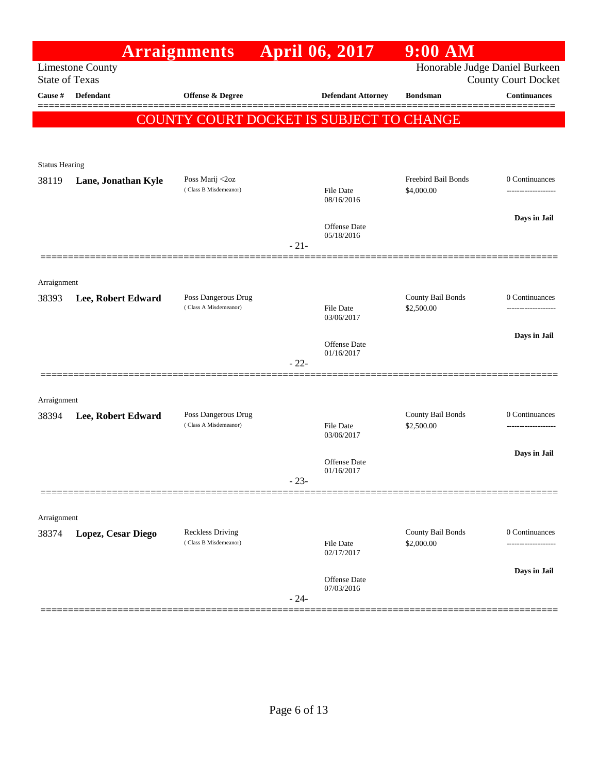|                       |                         | <b>Arraignments</b>                      | <b>April 06, 2017</b> |                                   | <b>9:00 AM</b>      |                                                              |
|-----------------------|-------------------------|------------------------------------------|-----------------------|-----------------------------------|---------------------|--------------------------------------------------------------|
| <b>State of Texas</b> | <b>Limestone County</b> |                                          |                       |                                   |                     | Honorable Judge Daniel Burkeen<br><b>County Court Docket</b> |
| Cause #               | Defendant               | <b>Offense &amp; Degree</b>              |                       | <b>Defendant Attorney</b>         | <b>Bondsman</b>     | <b>Continuances</b>                                          |
|                       |                         | COUNTY COURT DOCKET IS SUBJECT TO CHANGE |                       |                                   |                     |                                                              |
|                       |                         |                                          |                       |                                   |                     |                                                              |
| <b>Status Hearing</b> |                         |                                          |                       |                                   |                     |                                                              |
| 38119                 | Lane, Jonathan Kyle     | Poss Marij <2oz                          |                       |                                   | Freebird Bail Bonds | 0 Continuances                                               |
|                       |                         | (Class B Misdemeanor)                    |                       | File Date<br>08/16/2016           | \$4,000.00          | ------------------                                           |
|                       |                         |                                          |                       |                                   |                     | Days in Jail                                                 |
|                       |                         |                                          |                       | <b>Offense Date</b><br>05/18/2016 |                     |                                                              |
|                       |                         |                                          | $-21-$                |                                   |                     |                                                              |
|                       |                         |                                          |                       |                                   |                     |                                                              |
| Arraignment<br>38393  | Lee, Robert Edward      | Poss Dangerous Drug                      |                       |                                   | County Bail Bonds   | 0 Continuances                                               |
|                       |                         | (Class A Misdemeanor)                    |                       | <b>File Date</b><br>03/06/2017    | \$2,500.00          |                                                              |
|                       |                         |                                          |                       |                                   |                     | Days in Jail                                                 |
|                       |                         |                                          |                       | Offense Date<br>01/16/2017        |                     |                                                              |
|                       |                         |                                          | $-22-$                |                                   |                     |                                                              |
|                       |                         |                                          |                       |                                   |                     |                                                              |
| Arraignment<br>38394  | Lee, Robert Edward      | Poss Dangerous Drug                      |                       |                                   | County Bail Bonds   | 0 Continuances                                               |
|                       |                         | (Class A Misdemeanor)                    |                       | <b>File Date</b><br>03/06/2017    | \$2,500.00          | ------------------                                           |
|                       |                         |                                          |                       |                                   |                     | Days in Jail                                                 |
|                       |                         |                                          |                       | Offense Date<br>01/16/2017        |                     |                                                              |
|                       |                         |                                          | $-23-$                |                                   |                     |                                                              |
|                       |                         |                                          |                       |                                   |                     |                                                              |
| Arraignment<br>38374  | Lopez, Cesar Diego      | <b>Reckless Driving</b>                  |                       |                                   | County Bail Bonds   | 0 Continuances                                               |
|                       |                         | (Class B Misdemeanor)                    |                       | File Date<br>02/17/2017           | \$2,000.00          |                                                              |
|                       |                         |                                          |                       |                                   |                     | Days in Jail                                                 |
|                       |                         |                                          |                       | Offense Date<br>07/03/2016        |                     |                                                              |
|                       |                         |                                          | $-24-$                |                                   |                     |                                                              |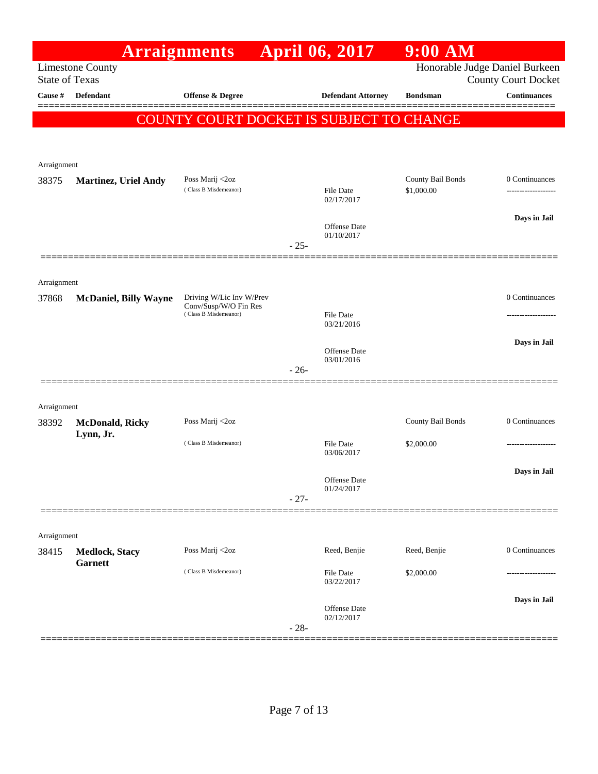|                       |                                         | <b>Arraignments</b>                               |        | <b>April 06, 2017</b>          | $9:00$ AM         |                                                              |
|-----------------------|-----------------------------------------|---------------------------------------------------|--------|--------------------------------|-------------------|--------------------------------------------------------------|
| <b>State of Texas</b> | <b>Limestone County</b>                 |                                                   |        |                                |                   | Honorable Judge Daniel Burkeen<br><b>County Court Docket</b> |
| Cause #               | Defendant                               | <b>Offense &amp; Degree</b>                       |        | <b>Defendant Attorney</b>      | <b>Bondsman</b>   | <b>Continuances</b>                                          |
|                       |                                         | COUNTY COURT DOCKET IS SUBJECT TO CHANGE          |        |                                |                   |                                                              |
|                       |                                         |                                                   |        |                                |                   |                                                              |
| Arraignment           |                                         |                                                   |        |                                |                   |                                                              |
| 38375                 | <b>Martinez, Uriel Andy</b>             | Poss Marij <2oz                                   |        |                                | County Bail Bonds | 0 Continuances                                               |
|                       |                                         | (Class B Misdemeanor)                             |        | <b>File Date</b><br>02/17/2017 | \$1,000.00        | ------------------                                           |
|                       |                                         |                                                   |        | Offense Date                   |                   | Days in Jail                                                 |
|                       |                                         |                                                   | $-25-$ | 01/10/2017                     |                   |                                                              |
|                       |                                         |                                                   |        |                                |                   |                                                              |
| Arraignment           |                                         |                                                   |        |                                |                   |                                                              |
| 37868                 | <b>McDaniel, Billy Wayne</b>            | Driving W/Lic Inv W/Prev<br>Conv/Susp/W/O Fin Res |        |                                |                   | 0 Continuances                                               |
|                       |                                         | (Class B Misdemeanor)                             |        | File Date<br>03/21/2016        |                   |                                                              |
|                       |                                         |                                                   |        |                                |                   | Days in Jail                                                 |
|                       |                                         |                                                   |        | Offense Date<br>03/01/2016     |                   |                                                              |
|                       |                                         |                                                   | $-26-$ |                                |                   |                                                              |
|                       |                                         |                                                   |        |                                |                   |                                                              |
| Arraignment<br>38392  | <b>McDonald, Ricky</b>                  | Poss Marij <2oz                                   |        |                                | County Bail Bonds | 0 Continuances                                               |
|                       | Lynn, Jr.                               | (Class B Misdemeanor)                             |        | File Date                      | \$2,000.00        |                                                              |
|                       |                                         |                                                   |        | 03/06/2017                     |                   |                                                              |
|                       |                                         |                                                   |        | Offense Date                   |                   | Days in Jail                                                 |
|                       |                                         |                                                   | $-27-$ | 01/24/2017                     |                   |                                                              |
|                       |                                         |                                                   |        |                                |                   |                                                              |
| Arraignment           |                                         |                                                   |        |                                |                   |                                                              |
| 38415                 | <b>Medlock, Stacy</b><br><b>Garnett</b> | Poss Marij <2oz                                   |        | Reed, Benjie                   | Reed, Benjie      | 0 Continuances                                               |
|                       |                                         | (Class B Misdemeanor)                             |        | File Date<br>03/22/2017        | \$2,000.00        |                                                              |
|                       |                                         |                                                   |        |                                |                   | Days in Jail                                                 |
|                       |                                         |                                                   |        | Offense Date<br>02/12/2017     |                   |                                                              |
|                       |                                         |                                                   | $-28-$ |                                |                   |                                                              |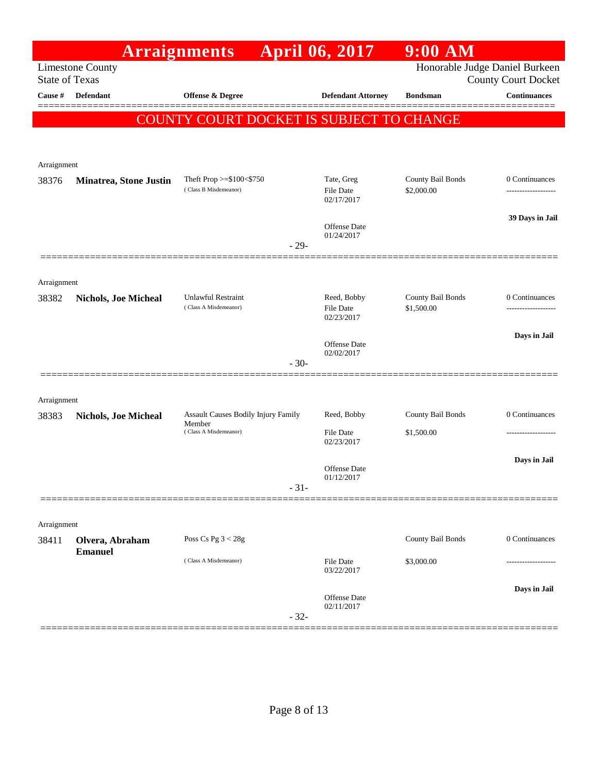|                       |                                         | <b>Arraignments</b>                           | <b>April 06, 2017</b>          | $9:00$ AM                      |                            |
|-----------------------|-----------------------------------------|-----------------------------------------------|--------------------------------|--------------------------------|----------------------------|
| <b>State of Texas</b> | <b>Limestone County</b>                 |                                               |                                | Honorable Judge Daniel Burkeen | <b>County Court Docket</b> |
| Cause #               | Defendant                               | Offense & Degree                              | <b>Defendant Attorney</b>      | <b>Bondsman</b>                | <b>Continuances</b>        |
|                       |                                         | COUNTY COURT DOCKET IS SUBJECT TO CHANGE      |                                |                                |                            |
|                       |                                         |                                               |                                |                                |                            |
|                       |                                         |                                               |                                |                                |                            |
| Arraignment<br>38376  | <b>Minatrea, Stone Justin</b>           | Theft Prop $>=\$100<\$750$                    | Tate, Greg                     | County Bail Bonds              | 0 Continuances             |
|                       |                                         | (Class B Misdemeanor)                         | File Date<br>02/17/2017        | \$2,000.00                     | ------------------         |
|                       |                                         |                                               |                                |                                | 39 Days in Jail            |
|                       |                                         |                                               | Offense Date<br>01/24/2017     |                                |                            |
|                       |                                         | $-29-$                                        |                                |                                |                            |
| Arraignment           |                                         |                                               |                                |                                |                            |
| 38382                 | <b>Nichols, Joe Micheal</b>             | <b>Unlawful Restraint</b>                     | Reed, Bobby                    | County Bail Bonds              | 0 Continuances             |
|                       |                                         | (Class A Misdemeanor)                         | <b>File Date</b><br>02/23/2017 | \$1,500.00                     |                            |
|                       |                                         |                                               |                                |                                | Days in Jail               |
|                       |                                         | $-30-$                                        | Offense Date<br>02/02/2017     |                                |                            |
|                       |                                         |                                               |                                |                                |                            |
| Arraignment           |                                         |                                               |                                |                                |                            |
| 38383                 | <b>Nichols, Joe Micheal</b>             | Assault Causes Bodily Injury Family<br>Member | Reed, Bobby                    | County Bail Bonds              | 0 Continuances             |
|                       |                                         | (Class A Misdemeanor)                         | <b>File Date</b><br>02/23/2017 | \$1,500.00                     |                            |
|                       |                                         |                                               |                                |                                | Days in Jail               |
|                       |                                         |                                               | Offense Date<br>01/12/2017     |                                |                            |
|                       |                                         | $-31-$                                        |                                |                                |                            |
| Arraignment           |                                         |                                               |                                |                                |                            |
| 38411                 | Olvera, Abraham                         | Poss Cs Pg $3 < 28g$                          |                                | County Bail Bonds              | 0 Continuances             |
|                       | <b>Emanuel</b><br>(Class A Misdemeanor) |                                               | File Date                      | \$3,000.00                     | ---------------            |
|                       |                                         |                                               | 03/22/2017                     |                                |                            |
|                       |                                         |                                               | Offense Date                   |                                | Days in Jail               |
|                       |                                         | $-32-$                                        | 02/11/2017                     |                                |                            |
|                       |                                         |                                               |                                |                                |                            |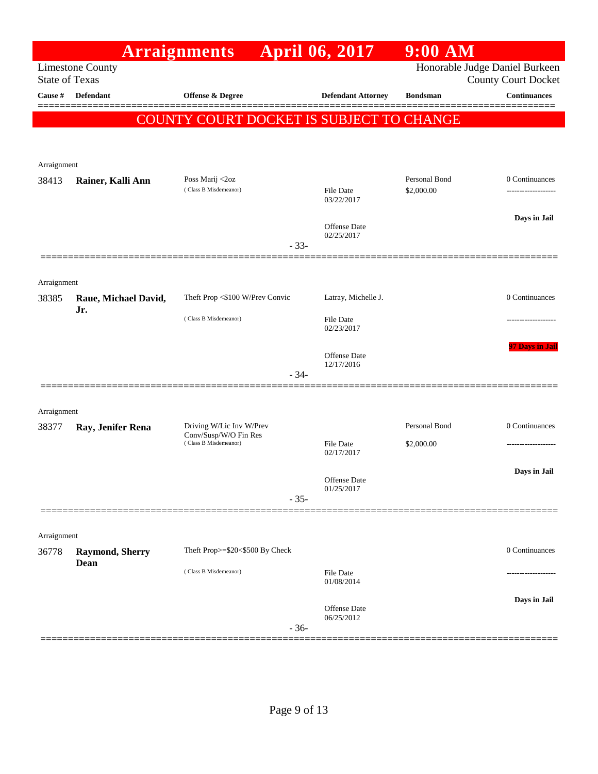|                       |                         | <b>Arraignments</b>                            |        | <b>April 06, 2017</b>      | $9:00$ AM                      |                            |
|-----------------------|-------------------------|------------------------------------------------|--------|----------------------------|--------------------------------|----------------------------|
| <b>State of Texas</b> | <b>Limestone County</b> |                                                |        |                            | Honorable Judge Daniel Burkeen | <b>County Court Docket</b> |
| <b>Cause #</b>        | Defendant               | <b>Offense &amp; Degree</b>                    |        | <b>Defendant Attorney</b>  | <b>Bondsman</b>                | <b>Continuances</b>        |
|                       |                         | COUNTY COURT DOCKET IS SUBJECT TO CHANGE       |        |                            |                                | =======                    |
|                       |                         |                                                |        |                            |                                |                            |
|                       |                         |                                                |        |                            |                                |                            |
| Arraignment           |                         |                                                |        |                            |                                |                            |
| 38413                 | Rainer, Kalli Ann       | Poss Marij <2oz<br>(Class B Misdemeanor)       |        | File Date<br>03/22/2017    | Personal Bond<br>\$2,000.00    | 0 Continuances             |
|                       |                         |                                                |        | Offense Date<br>02/25/2017 |                                | Days in Jail               |
|                       |                         |                                                | $-33-$ |                            |                                |                            |
|                       |                         |                                                |        |                            |                                |                            |
| Arraignment<br>38385  | Raue, Michael David,    | Theft Prop <\$100 W/Prev Convic                |        | Latray, Michelle J.        |                                | 0 Continuances             |
|                       | Jr.                     |                                                |        |                            |                                |                            |
|                       |                         | (Class B Misdemeanor)                          |        | File Date<br>02/23/2017    |                                | ----------------           |
|                       |                         |                                                |        |                            |                                | 97 Days in Jail            |
|                       |                         |                                                |        | Offense Date<br>12/17/2016 |                                |                            |
|                       |                         |                                                | $-34-$ |                            |                                |                            |
|                       |                         |                                                |        |                            |                                |                            |
| Arraignment<br>38377  | Ray, Jenifer Rena       | Driving W/Lic Inv W/Prev                       |        |                            | Personal Bond                  | 0 Continuances             |
|                       |                         | Conv/Susp/W/O Fin Res<br>(Class B Misdemeanor) |        | <b>File Date</b>           | \$2,000.00                     |                            |
|                       |                         |                                                |        | 02/17/2017                 |                                |                            |
|                       |                         |                                                |        | Offense Date               |                                | Days in Jail               |
|                       |                         |                                                | $-35-$ | 01/25/2017                 |                                |                            |
|                       |                         |                                                |        |                            |                                |                            |
| Arraignment           |                         |                                                |        |                            |                                |                            |
| 36778                 | <b>Raymond, Sherry</b>  | Theft Prop>=\$20<\$500 By Check                |        |                            |                                | 0 Continuances             |
|                       | Dean                    | (Class B Misdemeanor)                          |        | File Date<br>01/08/2014    |                                |                            |
|                       |                         |                                                |        |                            |                                | Days in Jail               |
|                       |                         |                                                | $-36-$ | Offense Date<br>06/25/2012 |                                |                            |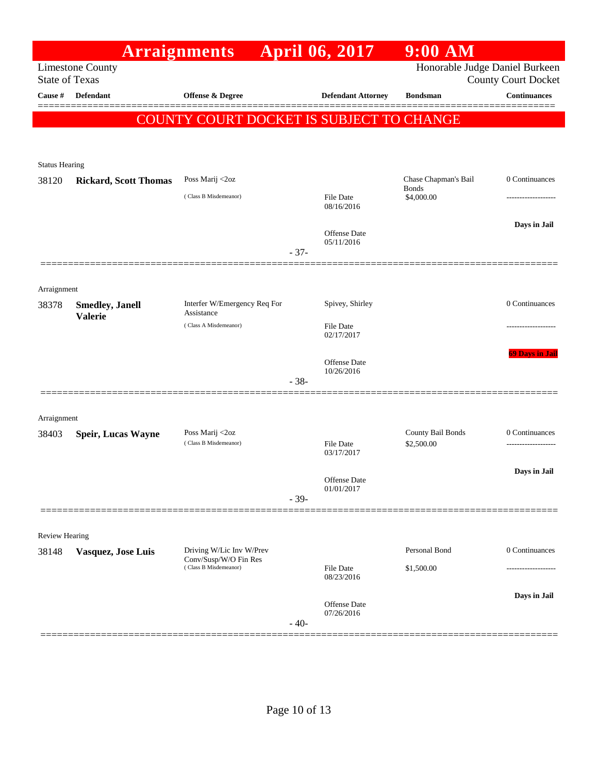|                       |                                           | <b>Arraignments</b>                               |        | <b>April 06, 2017</b>          | $9:00$ AM                            |                            |
|-----------------------|-------------------------------------------|---------------------------------------------------|--------|--------------------------------|--------------------------------------|----------------------------|
| <b>State of Texas</b> | <b>Limestone County</b>                   |                                                   |        |                                | Honorable Judge Daniel Burkeen       | <b>County Court Docket</b> |
| Cause #               | <b>Defendant</b>                          | <b>Offense &amp; Degree</b>                       |        | <b>Defendant Attorney</b>      | <b>Bondsman</b>                      | <b>Continuances</b>        |
|                       |                                           | COUNTY COURT DOCKET IS SUBJECT TO CHANGE          |        |                                |                                      |                            |
|                       |                                           |                                                   |        |                                |                                      |                            |
| <b>Status Hearing</b> |                                           |                                                   |        |                                |                                      |                            |
| 38120                 | <b>Rickard, Scott Thomas</b>              | Poss Marij <2oz                                   |        |                                | Chase Chapman's Bail<br><b>Bonds</b> | 0 Continuances             |
|                       |                                           | (Class B Misdemeanor)                             |        | <b>File Date</b><br>08/16/2016 | \$4,000.00                           |                            |
|                       |                                           |                                                   |        | Offense Date                   |                                      | Days in Jail               |
|                       |                                           |                                                   | $-37-$ | 05/11/2016                     |                                      |                            |
|                       |                                           |                                                   |        |                                |                                      |                            |
| Arraignment           |                                           |                                                   |        |                                |                                      |                            |
| 38378                 | <b>Smedley</b> , Janell<br><b>Valerie</b> | Interfer W/Emergency Req For<br>Assistance        |        | Spivey, Shirley                |                                      | 0 Continuances             |
|                       |                                           | (Class A Misdemeanor)                             |        | File Date<br>02/17/2017        |                                      |                            |
|                       |                                           |                                                   |        |                                |                                      | <b>69 Days in Jail</b>     |
|                       |                                           |                                                   |        | Offense Date<br>10/26/2016     |                                      |                            |
|                       |                                           |                                                   | $-38-$ |                                |                                      |                            |
| Arraignment           |                                           |                                                   |        |                                |                                      |                            |
| 38403                 | <b>Speir, Lucas Wayne</b>                 | Poss Marij <2oz                                   |        |                                | County Bail Bonds                    | 0 Continuances             |
|                       |                                           | (Class B Misdemeanor)                             |        | File Date<br>03/17/2017        | \$2,500.00                           |                            |
|                       |                                           |                                                   |        | Offense Date                   |                                      | Days in Jail               |
|                       |                                           |                                                   | $-39-$ | 01/01/2017                     |                                      |                            |
|                       |                                           |                                                   |        |                                |                                      |                            |
| <b>Review Hearing</b> |                                           |                                                   |        |                                |                                      |                            |
| 38148                 | Vasquez, Jose Luis                        | Driving W/Lic Inv W/Prev<br>Conv/Susp/W/O Fin Res |        |                                | Personal Bond                        | 0 Continuances             |
|                       |                                           | (Class B Misdemeanor)                             |        | File Date<br>08/23/2016        | \$1,500.00                           |                            |
|                       |                                           |                                                   |        | Offense Date                   |                                      | Days in Jail               |
|                       |                                           |                                                   | $-40-$ | 07/26/2016                     |                                      |                            |
|                       |                                           |                                                   |        |                                |                                      |                            |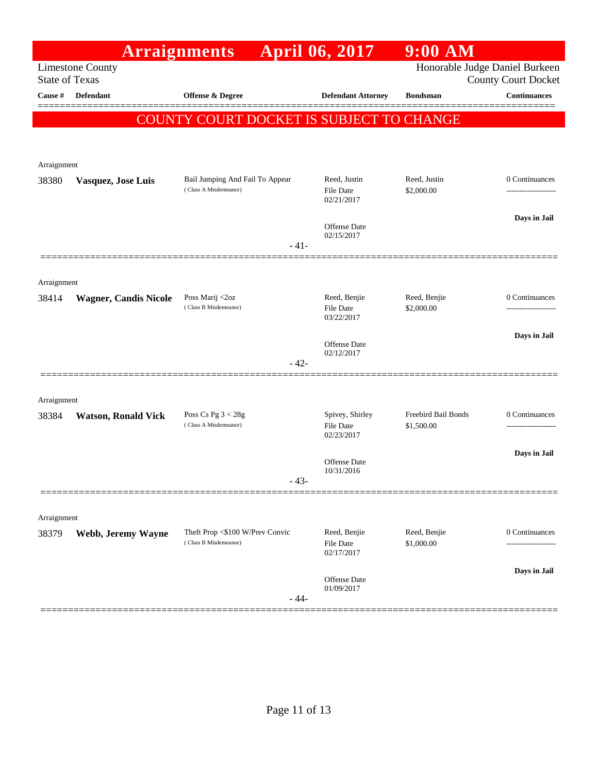|             |                                                  | <b>Arraignments</b>                                      | <b>April 06, 2017</b>                   | $9:00$ AM                  |                                                              |
|-------------|--------------------------------------------------|----------------------------------------------------------|-----------------------------------------|----------------------------|--------------------------------------------------------------|
|             | <b>Limestone County</b><br><b>State of Texas</b> |                                                          |                                         |                            | Honorable Judge Daniel Burkeen<br><b>County Court Docket</b> |
| Cause #     | <b>Defendant</b>                                 | Offense & Degree                                         | <b>Defendant Attorney</b>               | <b>Bondsman</b>            | <b>Continuances</b>                                          |
|             |                                                  | COUNTY COURT DOCKET IS SUBJECT TO CHANGE                 |                                         |                            | ======                                                       |
|             |                                                  |                                                          |                                         |                            |                                                              |
| Arraignment |                                                  |                                                          |                                         |                            |                                                              |
| 38380       | Vasquez, Jose Luis                               | Bail Jumping And Fail To Appear<br>(Class A Misdemeanor) | Reed, Justin                            | Reed, Justin               | 0 Continuances                                               |
|             |                                                  |                                                          | <b>File Date</b><br>02/21/2017          | \$2,000.00                 |                                                              |
|             |                                                  |                                                          | Offense Date                            |                            | Days in Jail                                                 |
|             |                                                  | $-41-$                                                   | 02/15/2017                              |                            |                                                              |
|             |                                                  |                                                          |                                         |                            |                                                              |
| Arraignment |                                                  |                                                          |                                         |                            |                                                              |
| 38414       | <b>Wagner, Candis Nicole</b>                     | Poss Marij <2oz<br>(Class B Misdemeanor)                 | Reed, Benjie<br><b>File Date</b>        | Reed, Benjie<br>\$2,000.00 | 0 Continuances                                               |
|             |                                                  |                                                          | 03/22/2017                              |                            | Days in Jail                                                 |
|             |                                                  |                                                          | Offense Date<br>02/12/2017              |                            |                                                              |
|             |                                                  | $-42-$                                                   |                                         |                            |                                                              |
| Arraignment |                                                  |                                                          |                                         |                            |                                                              |
| 38384       | <b>Watson, Ronald Vick</b>                       | Poss Cs Pg $3 < 28g$                                     | Spivey, Shirley                         | Freebird Bail Bonds        | 0 Continuances                                               |
|             |                                                  | (Class A Misdemeanor)                                    | <b>File Date</b><br>02/23/2017          | \$1,500.00                 | ---------------                                              |
|             |                                                  |                                                          | Offense Date                            |                            | Days in Jail                                                 |
|             |                                                  | - 43-                                                    | 10/31/2016                              |                            |                                                              |
|             |                                                  |                                                          |                                         |                            |                                                              |
| Arraignment |                                                  |                                                          |                                         |                            |                                                              |
| 38379       | Webb, Jeremy Wayne                               | Theft Prop <\$100 W/Prev Convic<br>(Class B Misdemeanor) | Reed, Benjie<br>File Date<br>02/17/2017 | Reed, Benjie<br>\$1,000.00 | 0 Continuances                                               |
|             |                                                  |                                                          |                                         |                            | Days in Jail                                                 |
|             |                                                  | - 44-                                                    | Offense Date<br>01/09/2017              |                            |                                                              |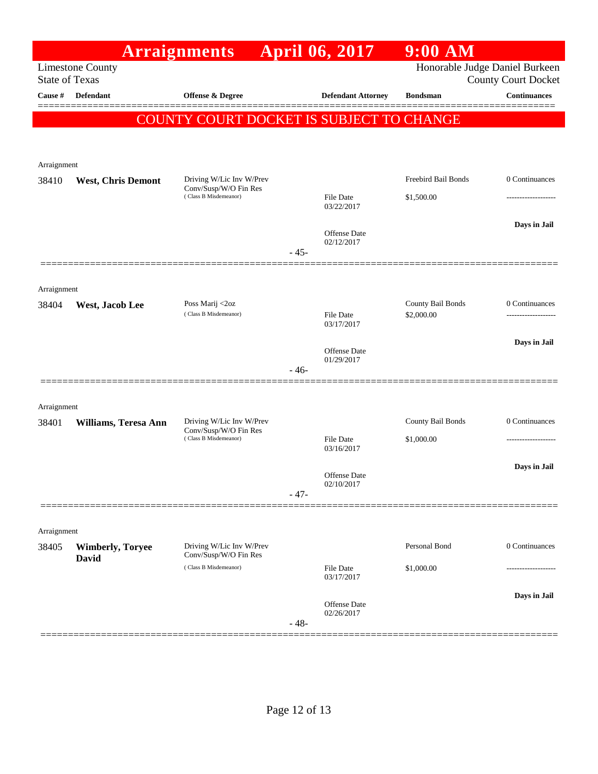|                       |                                         | <b>Arraignments</b>                               |        | April 06, 2017                    | 9:00 AM                         |                                                              |
|-----------------------|-----------------------------------------|---------------------------------------------------|--------|-----------------------------------|---------------------------------|--------------------------------------------------------------|
| <b>State of Texas</b> | <b>Limestone County</b>                 |                                                   |        |                                   |                                 | Honorable Judge Daniel Burkeen<br><b>County Court Docket</b> |
| Cause #               | <b>Defendant</b>                        | <b>Offense &amp; Degree</b>                       |        | <b>Defendant Attorney</b>         | <b>Bondsman</b>                 | <b>Continuances</b>                                          |
|                       |                                         | COUNTY COURT DOCKET IS SUBJECT TO CHANGE          |        |                                   |                                 |                                                              |
|                       |                                         |                                                   |        |                                   |                                 |                                                              |
| Arraignment           |                                         |                                                   |        |                                   |                                 |                                                              |
| 38410                 | <b>West, Chris Demont</b>               | Driving W/Lic Inv W/Prev<br>Conv/Susp/W/O Fin Res |        |                                   | <b>Freebird Bail Bonds</b>      | 0 Continuances                                               |
|                       |                                         | (Class B Misdemeanor)                             |        | <b>File Date</b><br>03/22/2017    | \$1,500.00                      |                                                              |
|                       |                                         |                                                   |        | Offense Date                      |                                 | Days in Jail                                                 |
|                       |                                         |                                                   | $-45-$ | 02/12/2017                        |                                 |                                                              |
|                       |                                         |                                                   |        |                                   |                                 |                                                              |
| Arraignment           |                                         |                                                   |        |                                   |                                 |                                                              |
| 38404                 | West, Jacob Lee                         | Poss Marij <2oz<br>(Class B Misdemeanor)          |        | <b>File Date</b><br>03/17/2017    | County Bail Bonds<br>\$2,000.00 | 0 Continuances                                               |
|                       |                                         |                                                   |        |                                   |                                 | Days in Jail                                                 |
|                       |                                         |                                                   |        | <b>Offense</b> Date<br>01/29/2017 |                                 |                                                              |
|                       |                                         |                                                   | $-46-$ |                                   |                                 |                                                              |
| Arraignment           |                                         |                                                   |        |                                   |                                 |                                                              |
| 38401                 | Williams, Teresa Ann                    | Driving W/Lic Inv W/Prev<br>Conv/Susp/W/O Fin Res |        |                                   | County Bail Bonds               | 0 Continuances                                               |
|                       |                                         | (Class B Misdemeanor)                             |        | <b>File Date</b><br>03/16/2017    | \$1,000.00                      |                                                              |
|                       |                                         |                                                   |        |                                   |                                 | Days in Jail                                                 |
|                       |                                         |                                                   | $-47-$ | <b>Offense</b> Date<br>02/10/2017 |                                 |                                                              |
|                       |                                         |                                                   |        |                                   |                                 |                                                              |
| Arraignment           |                                         |                                                   |        |                                   |                                 |                                                              |
| 38405                 | <b>Wimberly, Toryee</b><br><b>David</b> | Driving W/Lic Inv W/Prev<br>Conv/Susp/W/O Fin Res |        |                                   | Personal Bond                   | 0 Continuances                                               |
|                       |                                         | (Class B Misdemeanor)                             |        | <b>File Date</b><br>03/17/2017    | \$1,000.00                      |                                                              |
|                       |                                         |                                                   |        |                                   |                                 | Days in Jail                                                 |
|                       |                                         |                                                   | $-48-$ | Offense Date<br>02/26/2017        |                                 |                                                              |